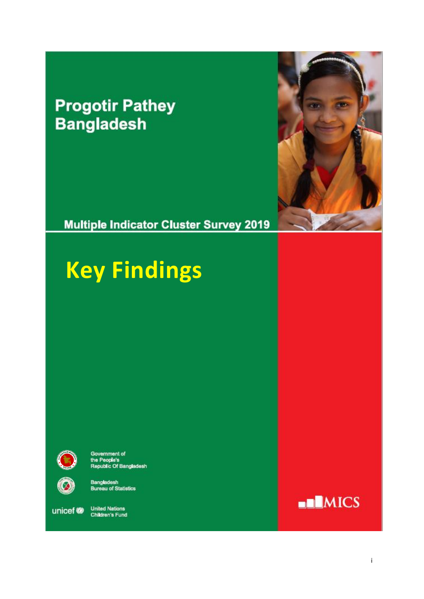### **Progotir Pathey Bangladesh**

**Multiple Indicator Cluster Survey 2019** 



## **Key Findings**



Government of<br>the People's<br>Republic Of Bangladesh

6

**Bangladesh**<br>Bureau of Statistics

unicef<sup>®</sup>

United Nations<br>Children's Fund

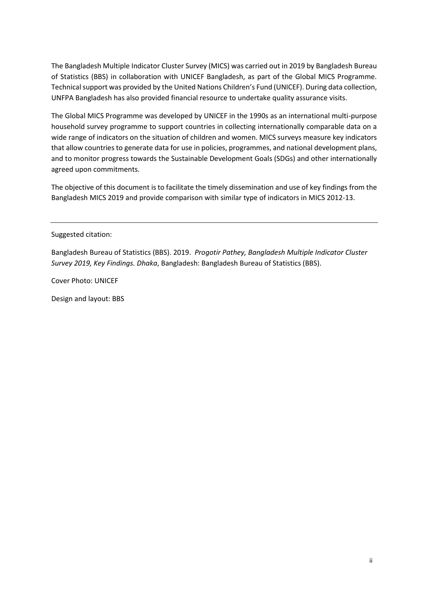The Bangladesh Multiple Indicator Cluster Survey (MICS) was carried out in 2019 by Bangladesh Bureau of Statistics (BBS) in collaboration with UNICEF Bangladesh, as part of the Global MICS Programme. Technical support was provided by the United Nations Children's Fund (UNICEF). During data collection, UNFPA Bangladesh has also provided financial resource to undertake quality assurance visits.

The Global MICS Programme was developed by UNICEF in the 1990s as an international multi-purpose household survey programme to support countries in collecting internationally comparable data on a wide range of indicators on the situation of children and women. MICS surveys measure key indicators that allow countries to generate data for use in policies, programmes, and national development plans, and to monitor progress towards the Sustainable Development Goals (SDGs) and other internationally agreed upon commitments.

The objective of this document is to facilitate the timely dissemination and use of key findings from the Bangladesh MICS 2019 and provide comparison with similar type of indicators in MICS 2012-13.

Suggested citation:

Bangladesh Bureau of Statistics (BBS). 2019. *Progotir Pathey, Bangladesh Multiple Indicator Cluster Survey 2019, Key Findings. Dhaka*, Bangladesh: Bangladesh Bureau of Statistics (BBS).

Cover Photo: UNICEF

Design and layout: BBS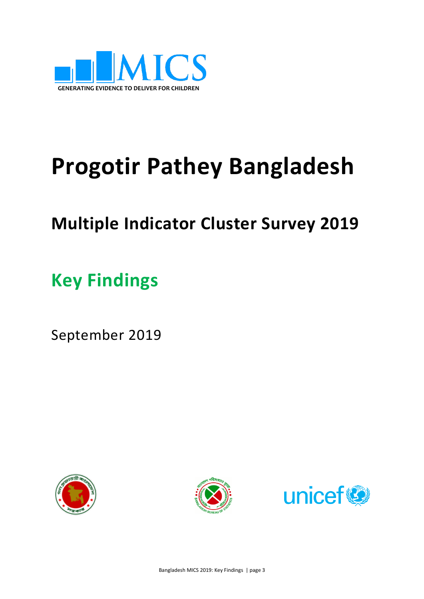

# **Progotir Pathey Bangladesh**

## **Multiple Indicator Cluster Survey 2019**

**Key Findings**

September 2019





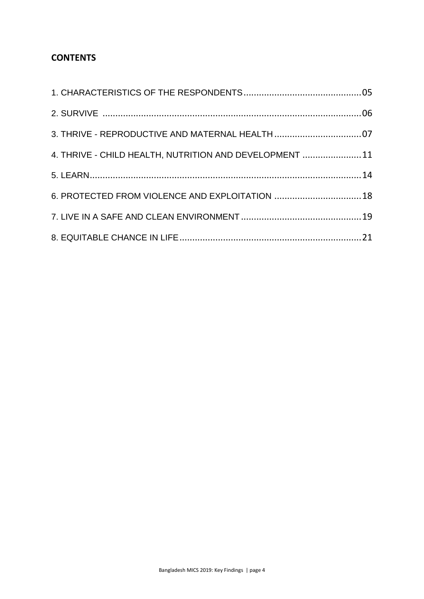#### **CONTENTS**

| 3. THRIVE - REPRODUCTIVE AND MATERNAL HEALTH 07         |  |
|---------------------------------------------------------|--|
| 4. THRIVE - CHILD HEALTH, NUTRITION AND DEVELOPMENT  11 |  |
|                                                         |  |
| 6. PROTECTED FROM VIOLENCE AND EXPLOITATION 18          |  |
|                                                         |  |
|                                                         |  |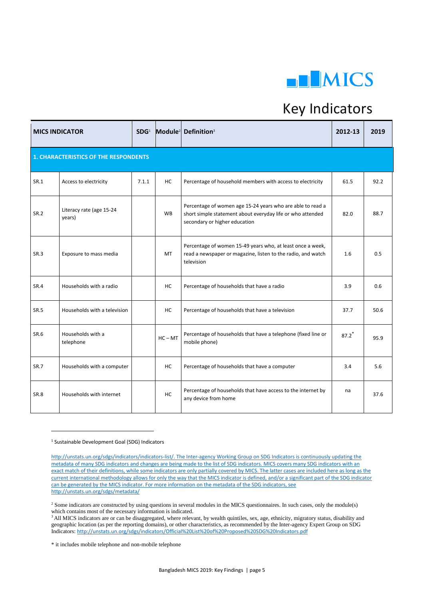

#### Key Indicators

|                                              | <b>MICS INDICATOR</b>              |       |           | SDG1 Module <sup>2</sup> Definition <sup>3</sup>                                                                                                          | 2012-13 | 2019 |  |  |  |
|----------------------------------------------|------------------------------------|-------|-----------|-----------------------------------------------------------------------------------------------------------------------------------------------------------|---------|------|--|--|--|
| <b>1. CHARACTERISTICS OF THE RESPONDENTS</b> |                                    |       |           |                                                                                                                                                           |         |      |  |  |  |
| SR.1                                         | Access to electricity              | 7.1.1 | HC.       | Percentage of household members with access to electricity                                                                                                | 61.5    | 92.2 |  |  |  |
| <b>SR.2</b>                                  | Literacy rate (age 15-24<br>years) |       | <b>WB</b> | Percentage of women age 15-24 years who are able to read a<br>short simple statement about everyday life or who attended<br>secondary or higher education | 82.0    | 88.7 |  |  |  |
| SR.3                                         | Exposure to mass media             |       | MT        | Percentage of women 15-49 years who, at least once a week,<br>read a newspaper or magazine, listen to the radio, and watch<br>television                  | 1.6     | 0.5  |  |  |  |
| <b>SR.4</b>                                  | Households with a radio            |       | НC        | Percentage of households that have a radio                                                                                                                | 3.9     | 0.6  |  |  |  |
| <b>SR.5</b>                                  | Households with a television       |       | HC        | Percentage of households that have a television                                                                                                           | 37.7    | 50.6 |  |  |  |
| SR.6                                         | Households with a<br>telephone     |       | $HC - MT$ | Percentage of households that have a telephone (fixed line or<br>mobile phone)                                                                            | 87.2    | 95.9 |  |  |  |
| SR.7                                         | Households with a computer         |       | HC        | Percentage of households that have a computer                                                                                                             | 3.4     | 5.6  |  |  |  |
| <b>SR.8</b>                                  | Households with internet           |       | HC        | Percentage of households that have access to the internet by<br>any device from home                                                                      | na      | 37.6 |  |  |  |

<sup>1</sup> Sustainable Development Goal (SDG) Indicators

1

[http://unstats.un.org/sdgs/indicators/indicators-list/.](http://unstats.un.org/sdgs/indicators/indicators-list/) The Inter-agency Working Group on SDG Indicators is continuously updating the metadata of many SDG indicators and changes are being made to the list of SDG indicators. MICS covers many SDG indicators with an exact match of their definitions, while some indicators are only partially covered by MICS. The latter cases are included here as long as the current international methodology allows for only the way that the MICS indicator is defined, and/or a significant part of the SDG indicator can be generated by the MICS indicator. For more information on the metadata of the SDG indicators, see <http://unstats.un.org/sdgs/metadata/>

<sup>&</sup>lt;sup>2</sup> Some indicators are constructed by using questions in several modules in the MICS questionnaires. In such cases, only the module(s) which contains most of the necessary information is indicated.

<sup>&</sup>lt;sup>3</sup> All MICS indicators are or can be disaggregated, where relevant, by wealth quintiles, sex, age, ethnicity, migratory status, disability and geographic location (as per the reporting domains), or other characteristics, as recommended by the Inter-agency Expert Group on SDG Indicators: <http://unstats.un.org/sdgs/indicators/Official%20List%20of%20Proposed%20SDG%20Indicators.pdf>

<sup>\*</sup> it includes mobile telephone and non-mobile telephone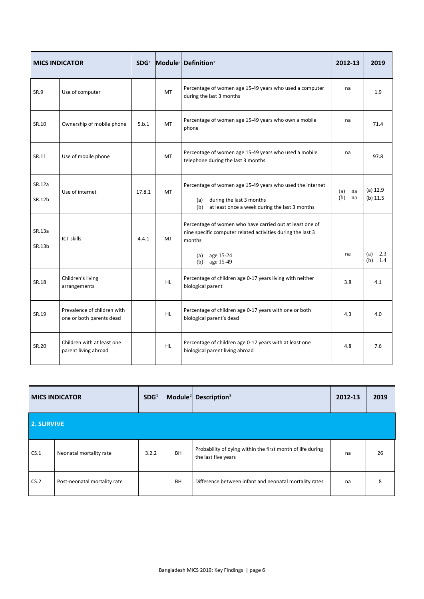| <b>MICS INDICATOR</b> |                                                         | SDG <sup>1</sup> |           | Module <sup>2</sup> Definition <sup>3</sup>                                                                                                           | 2012-13                | 2019                     |
|-----------------------|---------------------------------------------------------|------------------|-----------|-------------------------------------------------------------------------------------------------------------------------------------------------------|------------------------|--------------------------|
| SR.9                  | Use of computer                                         |                  | <b>MT</b> | Percentage of women age 15-49 years who used a computer<br>during the last 3 months                                                                   | na                     | 1.9                      |
| SR.10                 | Ownership of mobile phone                               | 5.b.1            | MT        | Percentage of women age 15-49 years who own a mobile<br>phone                                                                                         | na                     | 71.4                     |
| SR.11                 | Use of mobile phone                                     |                  | MT        | Percentage of women age 15-49 years who used a mobile<br>telephone during the last 3 months                                                           | na                     | 97.8                     |
| SR.12a<br>SR.12b      | Use of internet                                         | 17.8.1           | <b>MT</b> | Percentage of women age 15-49 years who used the internet<br>during the last 3 months<br>(a)<br>at least once a week during the last 3 months<br>(b)  | (a)<br>na<br>(b)<br>na | $(a)$ 12.9<br>$(b)$ 11.5 |
| SR.13a<br>SR.13b      | <b>ICT skills</b>                                       | 4.4.1            | MT        | Percentage of women who have carried out at least one of<br>nine specific computer related activities during the last 3<br>months<br>age 15-24<br>(a) | na                     | 2.3<br>(a)               |
|                       |                                                         |                  |           | age 15-49<br>(b)                                                                                                                                      |                        | (b)<br>1.4               |
| SR.18                 | Children's living<br>arrangements                       |                  | <b>HL</b> | Percentage of children age 0-17 years living with neither<br>biological parent                                                                        | 3.8                    | 4.1                      |
| SR.19                 | Prevalence of children with<br>one or both parents dead |                  | <b>HL</b> | Percentage of children age 0-17 years with one or both<br>biological parent's dead                                                                    | 4.3                    | 4.0                      |
| SR.20                 | Children with at least one<br>parent living abroad      |                  | <b>HL</b> | Percentage of children age 0-17 years with at least one<br>biological parent living abroad                                                            | 4.8                    | 7.6                      |

| <b>MICS INDICATOR</b> |                              | SDG <sup>1</sup> |           | Module <sup>2</sup> Description <sup>3</sup>                                      | 2012-13 | 2019 |
|-----------------------|------------------------------|------------------|-----------|-----------------------------------------------------------------------------------|---------|------|
| 2. SURVIVE            |                              |                  |           |                                                                                   |         |      |
| CS.1                  | Neonatal mortality rate      | 3.2.2            | <b>BH</b> | Probability of dying within the first month of life during<br>the last five years | na      | 26   |
| CS.2                  | Post-neonatal mortality rate |                  | BH        | Difference between infant and neonatal mortality rates                            | na      | 8    |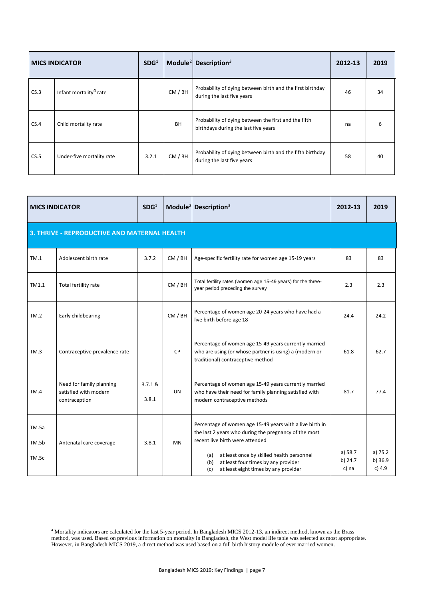| <b>MICS INDICATOR</b> |                                    | SDG <sup>1</sup> |           | Module <sup>2</sup> Description <sup>3</sup>                                                 | 2012-13 | 2019 |
|-----------------------|------------------------------------|------------------|-----------|----------------------------------------------------------------------------------------------|---------|------|
| CS.3                  | Infant mortality <sup>4</sup> rate |                  | CM / BH   | Probability of dying between birth and the first birthday<br>during the last five years      | 46      | 34   |
| CS.4                  | Child mortality rate               |                  | <b>BH</b> | Probability of dying between the first and the fifth<br>birthdays during the last five years | na      | 6    |
| CS.5                  | Under-five mortality rate          | 3.2.1            | CM / BH   | Probability of dying between birth and the fifth birthday<br>during the last five years      | 58      | 40   |

|                                              | <b>MICS INDICATOR</b>                                              |                  |           | Module <sup>2</sup> Description <sup>3</sup>                                                                                                                                                             | 2012-13            | 2019                 |
|----------------------------------------------|--------------------------------------------------------------------|------------------|-----------|----------------------------------------------------------------------------------------------------------------------------------------------------------------------------------------------------------|--------------------|----------------------|
| 3. THRIVE - REPRODUCTIVE AND MATERNAL HEALTH |                                                                    |                  |           |                                                                                                                                                                                                          |                    |                      |
| TM.1                                         | Adolescent birth rate                                              | 3.7.2            | CM / BH   | Age-specific fertility rate for women age 15-19 years                                                                                                                                                    | 83                 | 83                   |
| TM1.1                                        | Total fertility rate                                               |                  | CM / BH   | Total fertility rates (women age 15-49 years) for the three-<br>year period preceding the survey                                                                                                         | 2.3                | 2.3                  |
| TM.2                                         | Early childbearing                                                 |                  | CM / BH   | Percentage of women age 20-24 years who have had a<br>live birth before age 18                                                                                                                           | 24.4               | 24.2                 |
| TM.3                                         | Contraceptive prevalence rate                                      |                  | CP        | Percentage of women age 15-49 years currently married<br>who are using (or whose partner is using) a (modern or<br>traditional) contraceptive method                                                     | 61.8               | 62.7                 |
| TM.4                                         | Need for family planning<br>satisfied with modern<br>contraception | 3.7.1 &<br>3.8.1 | UN.       | Percentage of women age 15-49 years currently married<br>who have their need for family planning satisfied with<br>modern contraceptive methods                                                          | 81.7               | 77.4                 |
| TM.5a<br>TM.5b<br>TM.5c                      | Antenatal care coverage                                            | 3.8.1            | <b>MN</b> | Percentage of women age 15-49 years with a live birth in<br>the last 2 years who during the pregnancy of the most<br>recent live birth were attended<br>at least once by skilled health personnel<br>(a) | a) 58.7<br>b) 24.7 | a) $75.2$<br>b) 36.9 |
|                                              |                                                                    |                  |           | at least four times by any provider<br>(b)<br>at least eight times by any provider<br>(c)                                                                                                                | c) na              | c) 4.9               |

**<sup>.</sup>** <sup>4</sup> Mortality indicators are calculated for the last 5-year period. In Bangladesh MICS 2012-13, an indirect method, known as the Brass method, was used. Based on previous information on mortality in Bangladesh, the West model life table was selected as most appropriate. However, in Bangladesh MICS 2019, a direct method was used based on a full birth history module of ever married women.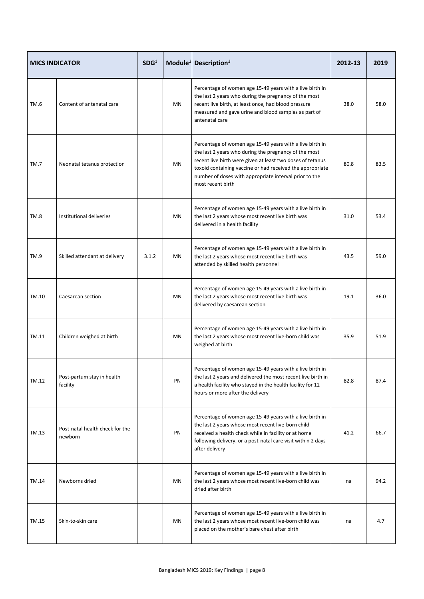|       | <b>MICS INDICATOR</b>                      | SDG <sup>1</sup> |           | Module <sup>2</sup> Description <sup>3</sup>                                                                                                                                                                                                                                                                                | 2012-13 | 2019 |
|-------|--------------------------------------------|------------------|-----------|-----------------------------------------------------------------------------------------------------------------------------------------------------------------------------------------------------------------------------------------------------------------------------------------------------------------------------|---------|------|
| TM.6  | Content of antenatal care                  |                  | <b>MN</b> | Percentage of women age 15-49 years with a live birth in<br>the last 2 years who during the pregnancy of the most<br>recent live birth, at least once, had blood pressure<br>measured and gave urine and blood samples as part of<br>antenatal care                                                                         | 38.0    | 58.0 |
| TM.7  | Neonatal tetanus protection                |                  | MN        | Percentage of women age 15-49 years with a live birth in<br>the last 2 years who during the pregnancy of the most<br>recent live birth were given at least two doses of tetanus<br>toxoid containing vaccine or had received the appropriate<br>number of doses with appropriate interval prior to the<br>most recent birth | 80.8    | 83.5 |
| TM.8  | Institutional deliveries                   |                  | MN        | Percentage of women age 15-49 years with a live birth in<br>the last 2 years whose most recent live birth was<br>delivered in a health facility                                                                                                                                                                             | 31.0    | 53.4 |
| TM.9  | Skilled attendant at delivery              | 3.1.2            | <b>MN</b> | Percentage of women age 15-49 years with a live birth in<br>the last 2 years whose most recent live birth was<br>attended by skilled health personnel                                                                                                                                                                       | 43.5    | 59.0 |
| TM.10 | Caesarean section                          |                  | MN        | Percentage of women age 15-49 years with a live birth in<br>the last 2 years whose most recent live birth was<br>delivered by caesarean section                                                                                                                                                                             | 19.1    | 36.0 |
| TM.11 | Children weighed at birth                  |                  | MN        | Percentage of women age 15-49 years with a live birth in<br>the last 2 years whose most recent live-born child was<br>weighed at birth                                                                                                                                                                                      | 35.9    | 51.9 |
| TM.12 | Post-partum stay in health<br>facility     |                  | PN        | Percentage of women age 15-49 years with a live birth in<br>the last 2 years and delivered the most recent live birth in<br>a health facility who stayed in the health facility for 12<br>hours or more after the delivery                                                                                                  | 82.8    | 87.4 |
| TM.13 | Post-natal health check for the<br>newborn |                  | PN        | Percentage of women age 15-49 years with a live birth in<br>the last 2 years whose most recent live-born child<br>received a health check while in facility or at home<br>following delivery, or a post-natal care visit within 2 days<br>after delivery                                                                    | 41.2    | 66.7 |
| TM.14 | Newborns dried                             |                  | MN        | Percentage of women age 15-49 years with a live birth in<br>the last 2 years whose most recent live-born child was<br>dried after birth                                                                                                                                                                                     | na      | 94.2 |
| TM.15 | Skin-to-skin care                          |                  | MN        | Percentage of women age 15-49 years with a live birth in<br>the last 2 years whose most recent live-born child was<br>placed on the mother's bare chest after birth                                                                                                                                                         | na      | 4.7  |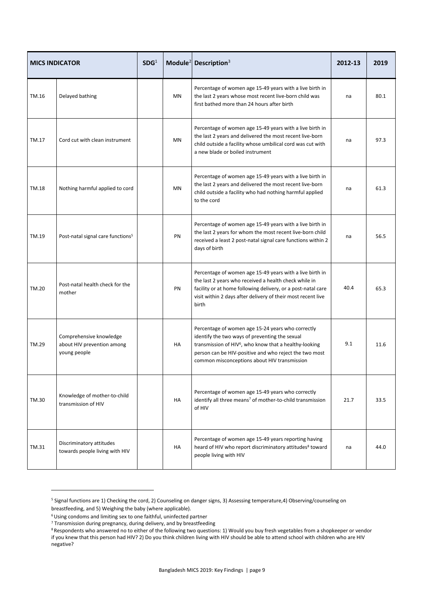| <b>MICS INDICATOR</b> |                                                                       | SDG <sup>1</sup> |           | Module <sup>2</sup> Description <sup>3</sup>                                                                                                                                                                                                                                        | 2012-13 | 2019 |
|-----------------------|-----------------------------------------------------------------------|------------------|-----------|-------------------------------------------------------------------------------------------------------------------------------------------------------------------------------------------------------------------------------------------------------------------------------------|---------|------|
| TM.16                 | Delayed bathing                                                       |                  | MN        | Percentage of women age 15-49 years with a live birth in<br>the last 2 years whose most recent live-born child was<br>first bathed more than 24 hours after birth                                                                                                                   | na      | 80.1 |
| TM.17                 | Cord cut with clean instrument                                        |                  | <b>MN</b> | Percentage of women age 15-49 years with a live birth in<br>the last 2 years and delivered the most recent live-born<br>child outside a facility whose umbilical cord was cut with<br>a new blade or boiled instrument                                                              | na      | 97.3 |
| TM.18                 | Nothing harmful applied to cord                                       |                  | <b>MN</b> | Percentage of women age 15-49 years with a live birth in<br>the last 2 years and delivered the most recent live-born<br>child outside a facility who had nothing harmful applied<br>to the cord                                                                                     | na      | 61.3 |
| TM.19                 | Post-natal signal care functions <sup>5</sup>                         |                  | PN        | Percentage of women age 15-49 years with a live birth in<br>the last 2 years for whom the most recent live-born child<br>received a least 2 post-natal signal care functions within 2<br>days of birth                                                                              | na      | 56.5 |
| TM.20                 | Post-natal health check for the<br>mother                             |                  | PN        | Percentage of women age 15-49 years with a live birth in<br>the last 2 years who received a health check while in<br>facility or at home following delivery, or a post-natal care<br>visit within 2 days after delivery of their most recent live<br>birth                          | 40.4    | 65.3 |
| TM.29                 | Comprehensive knowledge<br>about HIV prevention among<br>young people |                  | HA        | Percentage of women age 15-24 years who correctly<br>identify the two ways of preventing the sexual<br>transmission of HIV <sup>6</sup> , who know that a healthy-looking<br>person can be HIV-positive and who reject the two most<br>common misconceptions about HIV transmission | 9.1     | 11.6 |
| TM.30                 | Knowledge of mother-to-child<br>transmission of HIV                   |                  | HA        | Percentage of women age 15-49 years who correctly<br>identify all three means <sup>7</sup> of mother-to-child transmission<br>of HIV                                                                                                                                                | 21.7    | 33.5 |
| TM.31                 | Discriminatory attitudes<br>towards people living with HIV            |                  | HA        | Percentage of women age 15-49 years reporting having<br>heard of HIV who report discriminatory attitudes <sup>8</sup> toward<br>people living with HIV                                                                                                                              | na      | 44.0 |

<sup>5</sup> Signal functions are 1) Checking the cord, 2) Counseling on danger signs, 3) Assessing temperature,4) Observing/counseling on breastfeeding, and 5) Weighing the baby (where applicable).

 $6$  Using condoms and limiting sex to one faithful, uninfected partner

<sup>&</sup>lt;sup>7</sup> Transmission during pregnancy, during delivery, and by breastfeeding

<sup>8</sup> Respondents who answered no to either of the following two questions: 1) Would you buy fresh vegetables from a shopkeeper or vendor if you knew that this person had HIV? 2) Do you think children living with HIV should be able to attend school with children who are HIV negative?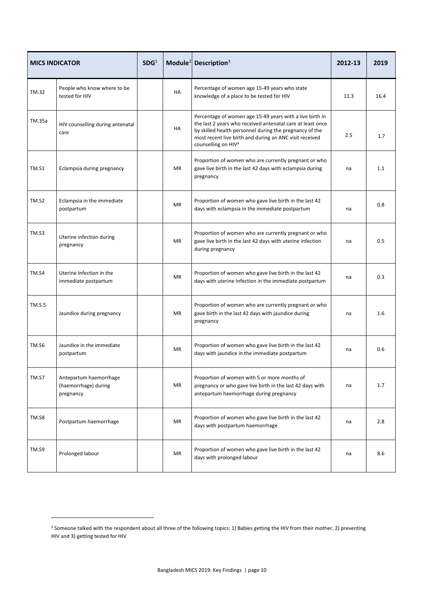| <b>MICS INDICATOR</b> |                                                             | SDG <sup>1</sup> |           | Module <sup>2</sup> Description <sup>3</sup>                                                                                                                                                                                                                                    | 2012-13 | 2019 |
|-----------------------|-------------------------------------------------------------|------------------|-----------|---------------------------------------------------------------------------------------------------------------------------------------------------------------------------------------------------------------------------------------------------------------------------------|---------|------|
| TM.32                 | People who know where to be<br>tested for HIV               |                  | HA        | Percentage of women age 15-49 years who state<br>knowledge of a place to be tested for HIV                                                                                                                                                                                      | 11.3    | 16.4 |
| TM.35a                | HIV counselling during antenatal<br>care                    |                  | HA        | Percentage of women age 15-49 years with a live birth in<br>the last 2 years who received antenatal care at least once<br>by skilled health personnel during the pregnancy of the<br>most recent live birth and during an ANC visit received<br>counselling on HIV <sup>9</sup> | 2.5     | 1.7  |
| <b>TM.S1</b>          | Eclampsia during pregnancy                                  |                  | <b>MR</b> | Proportion of women who are currently pregnant or who<br>gave live birth in the last 42 days with eclampsia during<br>pregnancy                                                                                                                                                 | na      | 1.1  |
| TM.S2                 | Eclampsia in the immediate<br>postpartum                    |                  | <b>MR</b> | Proportion of women who gave live birth in the last 42<br>days with eclampsia in the immediate postpartum                                                                                                                                                                       | na      | 0.8  |
| TM.S3                 | Uterine infection during<br>pregnancy                       |                  | <b>MR</b> | Proportion of women who are currently pregnant or who<br>gave live birth in the last 42 days with uterine infection<br>during pregnancy                                                                                                                                         | na      | 0.5  |
| TM.S4                 | Uterine Infection in the<br>immediate postpartum            |                  | <b>MR</b> | Proportion of women who gave live birth in the last 42<br>days with uterine Infection in the immediate postpartum                                                                                                                                                               | na      | 0.3  |
| <b>TM.S.5</b>         | Jaundice during pregnancy                                   |                  | <b>MR</b> | Proportion of women who are currently pregnant or who<br>gave birth in the last 42 days with jaundice during<br>pregnancy                                                                                                                                                       | na      | 1.6  |
| <b>TM.S6</b>          | Jaundice in the immediate<br>postpartum                     |                  | <b>MR</b> | Proportion of women who gave live birth in the last 42<br>days with jaundice in the immediate postpartum                                                                                                                                                                        | na      | 0.6  |
| TM.S7                 | Antepartum haemorrhage<br>(haemorrhage) during<br>pregnancy |                  | MR        | Proportion of women with 5 or more months of<br>pregnancy or who gave live birth in the last 42 days with<br>antepartum haemorrhage during pregnancy                                                                                                                            | na      | 1.7  |
| TM.S8                 | Postpartum haemorrhage                                      |                  | <b>MR</b> | Proportion of women who gave live birth in the last 42<br>days with postpartum haemorrhage                                                                                                                                                                                      | na      | 2.8  |
| TM.S9                 | Prolonged labour                                            |                  | MR        | Proportion of women who gave live birth in the last 42<br>days with prolonged labour                                                                                                                                                                                            | na      | 8.6  |

1

<sup>&</sup>lt;sup>9</sup> Someone talked with the respondent about all three of the following topics: 1) Babies getting the HIV from their mother, 2) preventing HIV and 3) getting tested for HIV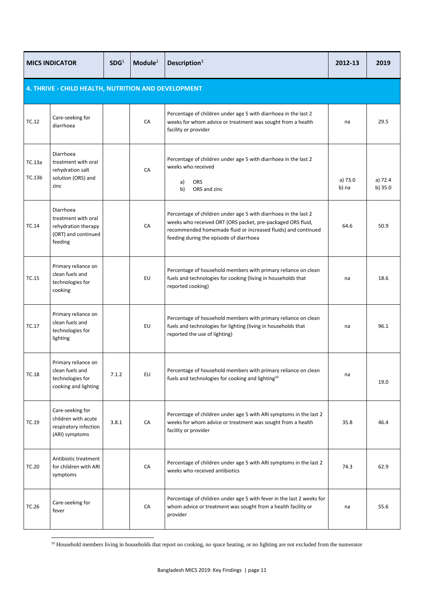|                  | SDG <sup>1</sup><br><b>MICS INDICATOR</b>                                                 |       | Module <sup>2</sup> | Description <sup>3</sup>                                                                                                                                                                                                                   | 2012-13          | 2019               |  |  |  |  |
|------------------|-------------------------------------------------------------------------------------------|-------|---------------------|--------------------------------------------------------------------------------------------------------------------------------------------------------------------------------------------------------------------------------------------|------------------|--------------------|--|--|--|--|
|                  | 4. THRIVE - CHILD HEALTH, NUTRITION AND DEVELOPMENT                                       |       |                     |                                                                                                                                                                                                                                            |                  |                    |  |  |  |  |
| TC.12            | Care-seeking for<br>diarrhoea                                                             |       | CA                  | Percentage of children under age 5 with diarrhoea in the last 2<br>weeks for whom advice or treatment was sought from a health<br>facility or provider                                                                                     | na               | 29.5               |  |  |  |  |
| TC.13a<br>TC.13b | Diarrhoea<br>treatment with oral<br>rehydration salt<br>solution (ORS) and<br>zinc        |       | CA                  | Percentage of children under age 5 with diarrhoea in the last 2<br>weeks who received<br><b>ORS</b><br>a)<br>b)<br>ORS and zinc                                                                                                            | a) 73.0<br>b) na | a) 72.4<br>b) 35.0 |  |  |  |  |
| TC.14            | Diarrhoea<br>treatment with oral<br>rehydration therapy<br>(ORT) and continued<br>feeding |       | CA                  | Percentage of children under age 5 with diarrhoea in the last 2<br>weeks who received ORT (ORS packet, pre-packaged ORS fluid,<br>recommended homemade fluid or increased fluids) and continued<br>feeding during the episode of diarrhoea | 64.6             | 50.9               |  |  |  |  |
| TC.15            | Primary reliance on<br>clean fuels and<br>technologies for<br>cooking                     |       | EU                  | Percentage of household members with primary reliance on clean<br>fuels and technologies for cooking (living in households that<br>reported cooking)                                                                                       | na               | 18.6               |  |  |  |  |
| TC.17            | Primary reliance on<br>clean fuels and<br>technologies for<br>lighting                    |       | EU                  | Percentage of household members with primary reliance on clean<br>fuels and technologies for lighting (living in households that<br>reported the use of lighting)                                                                          | na               | 96.1               |  |  |  |  |
| TC.18            | Primary reliance on<br>clean fuels and<br>technologies for<br>cooking and lighting        | 7.1.2 | EU                  | Percentage of household members with primary reliance on clean<br>fuels and technologies for cooking and lighting <sup>10</sup>                                                                                                            | na               | 19.0               |  |  |  |  |
| TC.19            | Care-seeking for<br>children with acute<br>respiratory infection<br>(ARI) symptoms        | 3.8.1 | CA                  | Percentage of children under age 5 with ARI symptoms in the last 2<br>weeks for whom advice or treatment was sought from a health<br>facility or provider                                                                                  | 35.8             | 46.4               |  |  |  |  |
| TC.20            | Antibiotic treatment<br>for children with ARI<br>symptoms                                 |       | CA                  | Percentage of children under age 5 with ARI symptoms in the last 2<br>weeks who received antibiotics                                                                                                                                       | 74.3             | 62.9               |  |  |  |  |
| TC.26            | Care-seeking for<br>fever                                                                 |       | CA                  | Percentage of children under age 5 with fever in the last 2 weeks for<br>whom advice or treatment was sought from a health facility or<br>provider                                                                                         | na               | 55.6               |  |  |  |  |

<sup>10</sup> Household members living in households that report no cooking, no space heating, or no lighting are not excluded from the numerator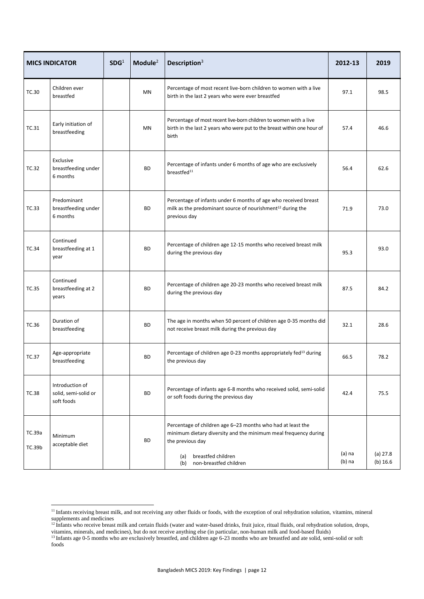|                  | <b>MICS INDICATOR</b>                                 | SDG <sup>1</sup> | Module $2$ | Description <sup>3</sup>                                                                                                                                                                                         | 2012-13              | 2019                   |
|------------------|-------------------------------------------------------|------------------|------------|------------------------------------------------------------------------------------------------------------------------------------------------------------------------------------------------------------------|----------------------|------------------------|
| TC.30            | Children ever<br>breastfed                            |                  | <b>MN</b>  | Percentage of most recent live-born children to women with a live<br>birth in the last 2 years who were ever breastfed                                                                                           | 97.1                 | 98.5                   |
| TC.31            | Early initiation of<br>breastfeeding                  |                  | MN         | Percentage of most recent live-born children to women with a live<br>birth in the last 2 years who were put to the breast within one hour of<br>birth                                                            | 57.4                 | 46.6                   |
| TC.32            | Exclusive<br>breastfeeding under<br>6 months          |                  | BD         | Percentage of infants under 6 months of age who are exclusively<br>breastfed <sup>11</sup>                                                                                                                       | 56.4                 | 62.6                   |
| TC.33            | Predominant<br>breastfeeding under<br>6 months        |                  | <b>BD</b>  | Percentage of infants under 6 months of age who received breast<br>milk as the predominant source of nourishment <sup>12</sup> during the<br>previous day                                                        | 71.9                 | 73.0                   |
| <b>TC.34</b>     | Continued<br>breastfeeding at 1<br>year               |                  | <b>BD</b>  | Percentage of children age 12-15 months who received breast milk<br>during the previous day                                                                                                                      | 95.3                 | 93.0                   |
| <b>TC.35</b>     | Continued<br>breastfeeding at 2<br>years              |                  | <b>BD</b>  | Percentage of children age 20-23 months who received breast milk<br>during the previous day                                                                                                                      | 87.5                 | 84.2                   |
| TC.36            | Duration of<br>breastfeeding                          |                  | <b>BD</b>  | The age in months when 50 percent of children age 0-35 months did<br>not receive breast milk during the previous day                                                                                             | 32.1                 | 28.6                   |
| TC.37            | Age-appropriate<br>breastfeeding                      |                  | <b>BD</b>  | Percentage of children age 0-23 months appropriately fed <sup>13</sup> during<br>the previous day                                                                                                                | 66.5                 | 78.2                   |
| <b>TC.38</b>     | Introduction of<br>solid, semi-solid or<br>soft foods |                  | <b>BD</b>  | Percentage of infants age 6-8 months who received solid, semi-solid<br>or soft foods during the previous day                                                                                                     | 42.4                 | 75.5                   |
| TC.39a<br>TC.39b | Minimum<br>acceptable diet                            |                  | BD         | Percentage of children age 6-23 months who had at least the<br>minimum dietary diversity and the minimum meal frequency during<br>the previous day<br>breastfed children<br>(a)<br>non-breastfed children<br>(b) | $(a)$ na<br>$(b)$ na | $(a)$ 27.8<br>(b) 16.6 |

<sup>&</sup>lt;sup>11</sup> Infants receiving breast milk, and not receiving any other fluids or foods, with the exception of oral rehydration solution, vitamins, mineral supplements and medicines

<sup>&</sup>lt;sup>12</sup> Infants who receive breast milk and certain fluids (water and water-based drinks, fruit juice, ritual fluids, oral rehydration solution, drops, vitamins, minerals, and medicines), but do not receive anything else (in particular, non-human milk and food-based fluids)

<sup>&</sup>lt;sup>13</sup> Infants age 0-5 months who are exclusively breastfed, and children age 6-23 months who are breastfed and ate solid, semi-solid or soft foods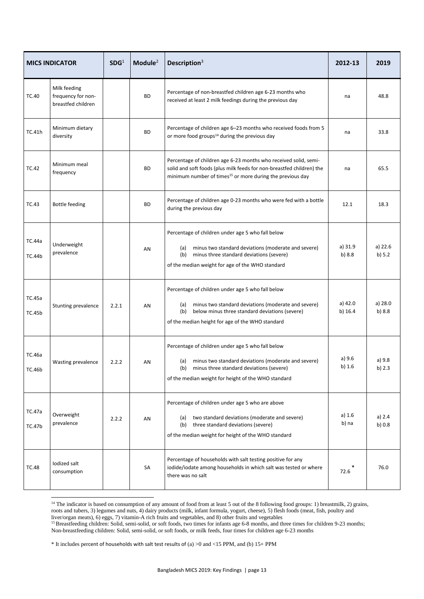|                         | <b>MICS INDICATOR</b>                                    | SDG <sup>1</sup> | Module $2$ | Description $3$                                                                                                                                                                                                              | 2012-13              | 2019                |
|-------------------------|----------------------------------------------------------|------------------|------------|------------------------------------------------------------------------------------------------------------------------------------------------------------------------------------------------------------------------------|----------------------|---------------------|
| <b>TC.40</b>            | Milk feeding<br>frequency for non-<br>breastfed children |                  | <b>BD</b>  | Percentage of non-breastfed children age 6-23 months who<br>received at least 2 milk feedings during the previous day                                                                                                        | na                   | 48.8                |
| TC.41h                  | Minimum dietary<br>diversity                             |                  | BD         | Percentage of children age 6-23 months who received foods from 5<br>or more food groups <sup>14</sup> during the previous day                                                                                                | na                   | 33.8                |
| <b>TC.42</b>            | Minimum meal<br>frequency                                |                  | <b>BD</b>  | Percentage of children age 6-23 months who received solid, semi-<br>solid and soft foods (plus milk feeds for non-breastfed children) the<br>minimum number of times <sup>15</sup> or more during the previous day           | na                   | 65.5                |
| <b>TC.43</b>            | Bottle feeding                                           |                  | <b>BD</b>  | Percentage of children age 0-23 months who were fed with a bottle<br>during the previous day                                                                                                                                 | 12.1                 | 18.3                |
| TC.44a<br>TC.44b        | Underweight<br>prevalence                                |                  | AN         | Percentage of children under age 5 who fall below<br>minus two standard deviations (moderate and severe)<br>(a)<br>minus three standard deviations (severe)<br>(b)<br>of the median weight for age of the WHO standard       | a) 31.9<br>b) 8.8    | a) 22.6<br>b) $5.2$ |
| TC.45a<br><b>TC.45b</b> | Stunting prevalence                                      | 2.2.1            | AN         | Percentage of children under age 5 who fall below<br>minus two standard deviations (moderate and severe)<br>(a)<br>below minus three standard deviations (severe)<br>(b)<br>of the median height for age of the WHO standard | a) 42.0<br>b) $16.4$ | a) 28.0<br>b) 8.8   |
| TC.46a<br>TC.46b        | Wasting prevalence                                       | 2.2.2            | AN         | Percentage of children under age 5 who fall below<br>minus two standard deviations (moderate and severe)<br>(a)<br>(b)<br>minus three standard deviations (severe)<br>of the median weight for height of the WHO standard    | a) 9.6<br>b) $1.6$   | a) 9.8<br>b) $2.3$  |
| TC.47a<br><b>TC.47b</b> | Overweight<br>prevalence                                 | 2.2.2            | AN         | Percentage of children under age 5 who are above<br>(a) two standard deviations (moderate and severe)<br>three standard deviations (severe)<br>(b)<br>of the median weight for height of the WHO standard                    | a) $1.6$<br>b) na    | a) $2.4$<br>b) 0.8  |
| <b>TC.48</b>            | lodized salt<br>consumption                              |                  | SA         | Percentage of households with salt testing positive for any<br>iodide/iodate among households in which salt was tested or where<br>there was no salt                                                                         | 72.6                 | 76.0                |

<sup>14</sup> The indicator is based on consumption of any amount of food from at least 5 out of the 8 following food groups: 1) breastmilk, 2) grains, roots and tubers, 3) legumes and nuts, 4) dairy products (milk, infant formula, yogurt, cheese), 5) flesh foods (meat, fish, poultry and liver/organ meats), 6) eggs, 7) vitamin-A rich fruits and vegetables, and 8) other fruits and vegetables

<sup>15</sup> Breastfeeding children: Solid, semi-solid, or soft foods, two times for infants age 6-8 months, and three times for children 9-23 months; Non-breastfeeding children: Solid, semi-solid, or soft foods, or milk feeds, four times for children age 6-23 months

\* It includes percent of households with salt test results of (a) >0 and <15 PPM, and (b) 15+ PPM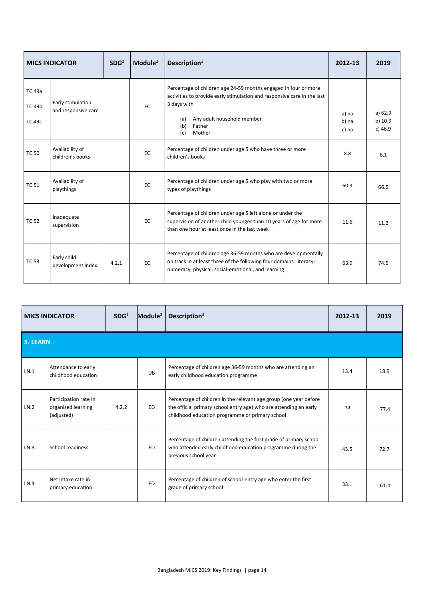| <b>MICS INDICATOR</b>             |                                          | SDG <sup>1</sup> | Module $2$ | Description $3$                                                                                                                                                                                                                  | 2012-13                 | 2019                            |
|-----------------------------------|------------------------------------------|------------------|------------|----------------------------------------------------------------------------------------------------------------------------------------------------------------------------------------------------------------------------------|-------------------------|---------------------------------|
| TC.49a<br><b>TC.49b</b><br>TC.49c | Early stimulation<br>and responsive care |                  | <b>EC</b>  | Percentage of children age 24-59 months engaged in four or more<br>activities to provide early stimulation and responsive care in the last<br>3 days with<br>Any adult household member<br>(a)<br>(b)<br>Father<br>Mother<br>(c) | a) na<br>b) na<br>c) na | a) 62.9<br>b) 10.9<br>$c)$ 46.9 |
| <b>TC.50</b>                      | Availability of<br>children's books      |                  | EC         | Percentage of children under age 5 who have three or more<br>children's books                                                                                                                                                    | 8.8                     | 6.1                             |
| <b>TC.51</b>                      | Availability of<br>playthings            |                  | EC         | Percentage of children under age 5 who play with two or more<br>types of playthings                                                                                                                                              | 60.3                    | 66.5                            |
| <b>TC.52</b>                      | Inadequate<br>supervision                |                  | EC         | Percentage of children under age 5 left alone or under the<br>supervision of another child younger than 10 years of age for more<br>than one hour at least once in the last week                                                 | 11.6                    | 11.2                            |
| <b>TC.53</b>                      | Early child<br>development index         | 4.2.1            | EC         | Percentage of children age 36-59 months who are developmentally<br>on track in at least three of the following four domains: literacy-<br>numeracy, physical, social-emotional, and learning                                     | 63.9                    | 74.5                            |

| <b>MICS INDICATOR</b> |                                                           | SDG <sup>1</sup> | Module $2$ | Description $3$                                                                                                                                                                           | 2012-13 | 2019 |
|-----------------------|-----------------------------------------------------------|------------------|------------|-------------------------------------------------------------------------------------------------------------------------------------------------------------------------------------------|---------|------|
| <b>5. LEARN</b>       |                                                           |                  |            |                                                                                                                                                                                           |         |      |
| LN.1                  | Attendance to early<br>childhood education                |                  | <b>UB</b>  | Percentage of children age 36-59 months who are attending an<br>early childhood education programme                                                                                       | 13.4    | 18.9 |
| LN.2                  | Participation rate in<br>organised learning<br>(adjusted) | 4.2.2            | ED.        | Percentage of children in the relevant age group (one year before<br>the official primary school entry age) who are attending an early<br>childhood education programme or primary school | na      | 77.4 |
| LN.3                  | School readiness                                          |                  | ED.        | Percentage of children attending the first grade of primary school<br>who attended early childhood education programme during the<br>previous school year                                 | 43.5    | 72.7 |
| LN.4                  | Net intake rate in<br>primary education                   |                  | <b>ED</b>  | Percentage of children of school-entry age who enter the first<br>grade of primary school                                                                                                 | 33.1    | 61.4 |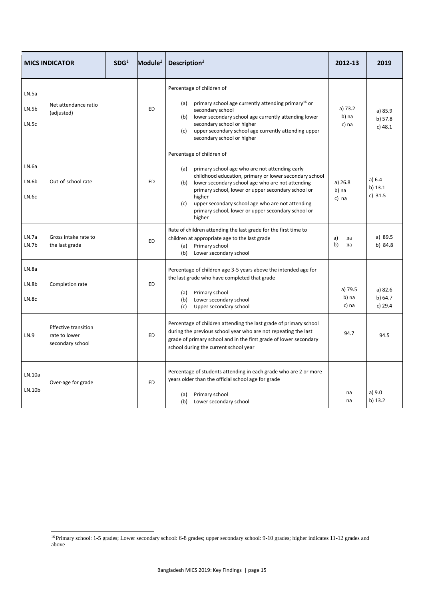|                         | <b>MICS INDICATOR</b>                                            | SDG <sup>1</sup> | Module $2$ | Description <sup>3</sup>                                                                                                                                                                                                                                                                                                                                                                           | 2012-13                     | 2019                            |
|-------------------------|------------------------------------------------------------------|------------------|------------|----------------------------------------------------------------------------------------------------------------------------------------------------------------------------------------------------------------------------------------------------------------------------------------------------------------------------------------------------------------------------------------------------|-----------------------------|---------------------------------|
| LN.5a<br>LN.5b<br>LN.5c | Net attendance ratio<br>(adjusted)                               |                  | <b>ED</b>  | Percentage of children of<br>primary school age currently attending primary <sup>16</sup> or<br>(a)<br>secondary school<br>lower secondary school age currently attending lower<br>(b)<br>secondary school or higher<br>upper secondary school age currently attending upper<br>(c)<br>secondary school or higher                                                                                  | a) 73.2<br>b) na<br>c) na   | a) 85.9<br>b) 57.8<br>$c)$ 48.1 |
| LN.Ga<br>LN.6b<br>LN.6c | Out-of-school rate                                               |                  | <b>ED</b>  | Percentage of children of<br>primary school age who are not attending early<br>(a)<br>childhood education, primary or lower secondary school<br>lower secondary school age who are not attending<br>(b)<br>primary school, lower or upper secondary school or<br>higher<br>(c)<br>upper secondary school age who are not attending<br>primary school, lower or upper secondary school or<br>higher | a) $26.8$<br>b) na<br>c) na | a) 6.4<br>b) 13.1<br>c) $31.5$  |
| LN.7a<br>LN.7b          | Gross intake rate to<br>the last grade                           |                  | <b>ED</b>  | Rate of children attending the last grade for the first time to<br>children at appropriate age to the last grade<br>Primary school<br>(a)<br>Lower secondary school<br>(b)                                                                                                                                                                                                                         | a)<br>na<br>b)<br>na        | a) 89.5<br>b) 84.8              |
| LN.8a<br>LN.8b<br>LN.8c | Completion rate                                                  |                  | <b>ED</b>  | Percentage of children age 3-5 years above the intended age for<br>the last grade who have completed that grade<br>Primary school<br>(a)<br>(b)<br>Lower secondary school<br>(c)<br>Upper secondary school                                                                                                                                                                                         | a) 79.5<br>b) na<br>c) na   | a) 82.6<br>b) 64.7<br>c) 29.4   |
| LN.9                    | <b>Effective transition</b><br>rate to lower<br>secondary school |                  | <b>ED</b>  | Percentage of children attending the last grade of primary school<br>during the previous school year who are not repeating the last<br>grade of primary school and in the first grade of lower secondary<br>school during the current school year                                                                                                                                                  | 94.7                        | 94.5                            |
| LN.10a<br>LN.10b        | Over-age for grade                                               |                  | <b>ED</b>  | Percentage of students attending in each grade who are 2 or more<br>years older than the official school age for grade<br>Primary school<br>(a)<br>(b) Lower secondary school                                                                                                                                                                                                                      | na<br>na                    | a) 9.0<br>b) 13.2               |

1

<sup>&</sup>lt;sup>16</sup> Primary school: 1-5 grades; Lower secondary school: 6-8 grades; upper secondary school: 9-10 grades; higher indicates 11-12 grades and above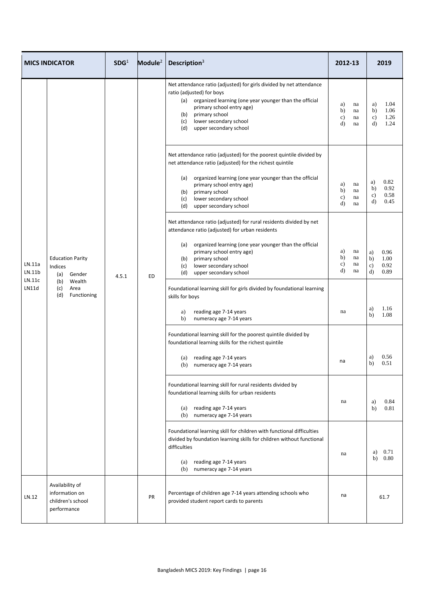|                            | <b>MICS INDICATOR</b>                                                                                  | SDG <sup>1</sup> | Module <sup>2</sup> | Description $3$                                                                                                                                                                                                                                                                           | 2012-13                                  |                      |                                 | 2019                         |
|----------------------------|--------------------------------------------------------------------------------------------------------|------------------|---------------------|-------------------------------------------------------------------------------------------------------------------------------------------------------------------------------------------------------------------------------------------------------------------------------------------|------------------------------------------|----------------------|---------------------------------|------------------------------|
|                            |                                                                                                        |                  |                     | Net attendance ratio (adjusted) for girls divided by net attendance<br>ratio (adjusted) for boys<br>organized learning (one year younger than the official<br>(a)<br>primary school entry age)<br>primary school<br>(b)<br>lower secondary school<br>(c)<br>(d)<br>upper secondary school | a)<br>b)<br>$\mathbf{c}$<br>$\mathbf{d}$ | na<br>na<br>na<br>na | a)<br>b)<br>c)<br>d)            | 1.04<br>1.06<br>1.26<br>1.24 |
|                            |                                                                                                        |                  |                     | Net attendance ratio (adjusted) for the poorest quintile divided by<br>net attendance ratio (adjusted) for the richest quintile<br>organized learning (one year younger than the official<br>(a)                                                                                          |                                          |                      | a)                              | 0.82                         |
|                            | <b>Education Parity</b><br>Indices<br>Gender<br>(a)<br>(b) Wealth<br>(c)<br>Area<br>(d)<br>Functioning | 4.5.1            | <b>ED</b>           | primary school entry age)<br>primary school<br>(b)<br>lower secondary school<br>(c)<br>(d)<br>upper secondary school                                                                                                                                                                      | a)<br>b)<br>$\mathbf{c})$<br>d)          | na<br>na<br>na<br>na | b)<br>$\mathbf{c})$<br>d)       | 0.92<br>0.58<br>0.45         |
|                            |                                                                                                        |                  |                     | Net attendance ratio (adjusted) for rural residents divided by net<br>attendance ratio (adjusted) for urban residents                                                                                                                                                                     |                                          |                      |                                 |                              |
| LN.11a<br>LN.11b<br>LN.11c |                                                                                                        |                  |                     | organized learning (one year younger than the official<br>(a)<br>primary school entry age)<br>primary school<br>(b)<br>lower secondary school<br>(c)<br>(d)<br>upper secondary school                                                                                                     | a)<br>b)<br>c)<br>d)                     | na<br>na<br>na<br>na | a)<br>b)<br>$\mathbf{c})$<br>d) | 0.96<br>1.00<br>0.92<br>0.89 |
| <b>LN11d</b>               |                                                                                                        |                  |                     | Foundational learning skill for girls divided by foundational learning<br>skills for boys                                                                                                                                                                                                 |                                          |                      | a)                              | 1.16                         |
|                            |                                                                                                        |                  |                     | reading age 7-14 years<br>a)<br>b)<br>numeracy age 7-14 years                                                                                                                                                                                                                             | na                                       |                      | b)                              | 1.08                         |
|                            |                                                                                                        |                  |                     | Foundational learning skill for the poorest quintile divided by<br>foundational learning skills for the richest quintile                                                                                                                                                                  |                                          |                      |                                 |                              |
|                            |                                                                                                        |                  |                     | reading age 7-14 years<br>(a)<br>(b)<br>numeracy age 7-14 years                                                                                                                                                                                                                           | na                                       |                      | a)<br>b)                        | 0.56<br>0.51                 |
|                            |                                                                                                        |                  |                     | Foundational learning skill for rural residents divided by<br>foundational learning skills for urban residents                                                                                                                                                                            | na                                       |                      | a)                              | 0.84                         |
|                            |                                                                                                        |                  |                     | reading age 7-14 years<br>(a)<br>(b)<br>numeracy age 7-14 years                                                                                                                                                                                                                           |                                          |                      | b)                              | 0.81                         |
|                            |                                                                                                        |                  |                     | Foundational learning skill for children with functional difficulties<br>divided by foundation learning skills for children without functional<br>difficulties                                                                                                                            | na                                       |                      | a)                              | 0.71                         |
|                            |                                                                                                        |                  |                     | reading age 7-14 years<br>(a)<br>(b) numeracy age 7-14 years                                                                                                                                                                                                                              |                                          |                      | b)                              | 0.80                         |
| LN.12                      | Availability of<br>information on<br>children's school<br>performance                                  |                  | PR                  | Percentage of children age 7-14 years attending schools who<br>provided student report cards to parents                                                                                                                                                                                   | na                                       |                      |                                 | 61.7                         |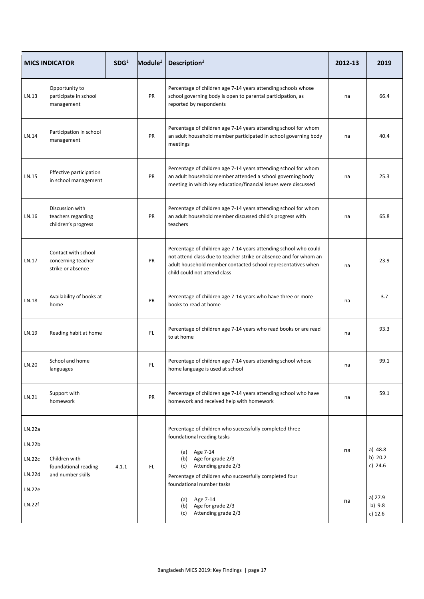|                                                | <b>MICS INDICATOR</b>                                          | SDG <sup>1</sup> | Module $2$ | Description <sup>3</sup>                                                                                                                                                                                                                                  | 2012-13 | 2019                            |
|------------------------------------------------|----------------------------------------------------------------|------------------|------------|-----------------------------------------------------------------------------------------------------------------------------------------------------------------------------------------------------------------------------------------------------------|---------|---------------------------------|
| LN.13                                          | Opportunity to<br>participate in school<br>management          |                  | PR         | Percentage of children age 7-14 years attending schools whose<br>school governing body is open to parental participation, as<br>reported by respondents                                                                                                   | na      | 66.4                            |
| LN.14                                          | Participation in school<br>management                          |                  | PR         | Percentage of children age 7-14 years attending school for whom<br>an adult household member participated in school governing body<br>meetings                                                                                                            | na      | 40.4                            |
| LN.15                                          | Effective participation<br>in school management                |                  | PR         | Percentage of children age 7-14 years attending school for whom<br>an adult household member attended a school governing body<br>meeting in which key education/financial issues were discussed                                                           | na      | 25.3                            |
| LN.16                                          | Discussion with<br>teachers regarding<br>children's progress   |                  | PR         | Percentage of children age 7-14 years attending school for whom<br>an adult household member discussed child's progress with<br>teachers                                                                                                                  | na      | 65.8                            |
| LN.17                                          | Contact with school<br>concerning teacher<br>strike or absence |                  | PR         | Percentage of children age 7-14 years attending school who could<br>not attend class due to teacher strike or absence and for whom an<br>adult household member contacted school representatives when<br>child could not attend class                     | na      | 23.9                            |
| LN.18                                          | Availability of books at<br>home                               |                  | PR         | Percentage of children age 7-14 years who have three or more<br>books to read at home                                                                                                                                                                     | na      | 3.7                             |
| LN.19                                          | Reading habit at home                                          |                  | FL.        | Percentage of children age 7-14 years who read books or are read<br>to at home                                                                                                                                                                            | na      | 93.3                            |
| LN.20                                          | School and home<br>languages                                   |                  | FL.        | Percentage of children age 7-14 years attending school whose<br>home language is used at school                                                                                                                                                           | na      | 99.1                            |
| LN.21                                          | Support with<br>homework                                       |                  | PR         | Percentage of children age 7-14 years attending school who have<br>homework and received help with homework                                                                                                                                               | na      | 59.1                            |
| LN.22a<br>LN.22b<br>LN.22c<br>LN.22d<br>LN.22e | Children with<br>foundational reading<br>and number skills     | 4.1.1            | FL.        | Percentage of children who successfully completed three<br>foundational reading tasks<br>Age 7-14<br>(a)<br>Age for grade 2/3<br>(b)<br>Attending grade 2/3<br>(c)<br>Percentage of children who successfully completed four<br>foundational number tasks | na      | a) 48.8<br>b) 20.2<br>c) $24.6$ |
| LN.22f                                         |                                                                |                  |            | Age 7-14<br>(a)<br>Age for grade 2/3<br>(b)<br>Attending grade 2/3<br>(c)                                                                                                                                                                                 | na      | a) 27.9<br>b) 9.8<br>$c)$ 12.6  |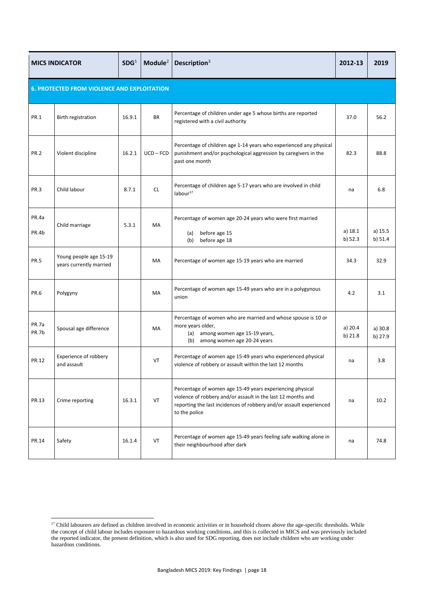| <b>MICS INDICATOR</b>                              |                                                   | SDG <sup>1</sup> | Module <sup>2</sup> | Description <sup>3</sup>                                                                                                                                                                                          | 2012-13            | 2019               |  |  |  |  |
|----------------------------------------------------|---------------------------------------------------|------------------|---------------------|-------------------------------------------------------------------------------------------------------------------------------------------------------------------------------------------------------------------|--------------------|--------------------|--|--|--|--|
| <b>6. PROTECTED FROM VIOLENCE AND EXPLOITATION</b> |                                                   |                  |                     |                                                                                                                                                                                                                   |                    |                    |  |  |  |  |
| <b>PR.1</b>                                        | Birth registration                                | 16.9.1           | <b>BR</b>           | Percentage of children under age 5 whose births are reported<br>registered with a civil authority                                                                                                                 | 37.0               | 56.2               |  |  |  |  |
| <b>PR.2</b>                                        | Violent discipline                                | 16.2.1           | $UCD - FCD$         | Percentage of children age 1-14 years who experienced any physical<br>punishment and/or psychological aggression by caregivers in the<br>past one month                                                           | 82.3               | 88.8               |  |  |  |  |
| <b>PR.3</b>                                        | Child labour                                      | 8.7.1            | <b>CL</b>           | Percentage of children age 5-17 years who are involved in child<br>labor <sup>17</sup>                                                                                                                            | na                 | 6.8                |  |  |  |  |
| PR.4a<br>PR.4b                                     | Child marriage                                    | 5.3.1            | MA                  | Percentage of women age 20-24 years who were first married<br>before age 15<br>(a)<br>before age 18<br>(b)                                                                                                        | a) 18.1<br>b) 52.3 | a) 15.5<br>b) 51.4 |  |  |  |  |
| <b>PR.5</b>                                        | Young people age 15-19<br>years currently married |                  | <b>MA</b>           | Percentage of women age 15-19 years who are married                                                                                                                                                               | 34.3               | 32.9               |  |  |  |  |
| <b>PR.6</b>                                        | Polygyny                                          |                  | MA                  | Percentage of women age 15-49 years who are in a polygynous<br>union                                                                                                                                              | 4.2                | 3.1                |  |  |  |  |
| PR.7a<br>PR.7b                                     | Spousal age difference                            |                  | MA                  | Percentage of women who are married and whose spouse is 10 or<br>more years older,<br>(a) among women age 15-19 years,<br>(b) among women age 20-24 years                                                         | a) 20.4<br>b) 21.8 | a) 30.8<br>b) 27.9 |  |  |  |  |
| PR.12                                              | Experience of robbery<br>and assault              |                  | <b>VT</b>           | Percentage of women age 15-49 years who experienced physical<br>violence of robbery or assault within the last 12 months                                                                                          | na                 | 3.8                |  |  |  |  |
| PR.13                                              | Crime reporting                                   | 16.3.1           | VT                  | Percentage of women age 15-49 years experiencing physical<br>violence of robbery and/or assault in the last 12 months and<br>reporting the last incidences of robbery and/or assault experienced<br>to the police | na                 | 10.2               |  |  |  |  |
| PR.14                                              | Safety                                            | 16.1.4           | VT                  | Percentage of women age 15-49 years feeling safe walking alone in<br>their neighbourhood after dark                                                                                                               | na                 | 74.8               |  |  |  |  |

<sup>1</sup>  $<sup>17</sup>$  Child labourers are defined as children involved in economic activities or in household chores above the age-specific thresholds. While</sup> the concept of child labour includes exposure to hazardous working conditions, and this is collected in MICS and was previously included the reported indicator, the present definition, which is also used for SDG reporting, does not include children who are working under hazardous conditions.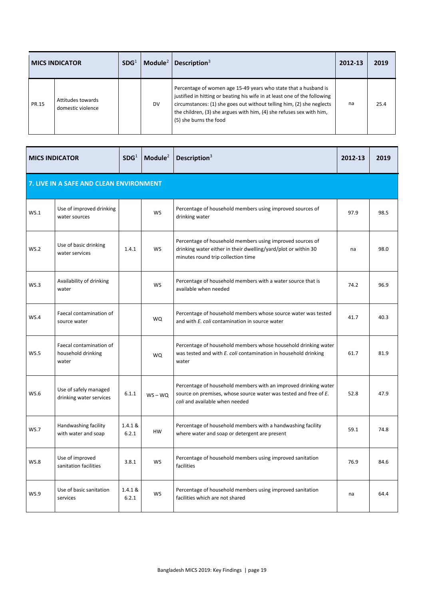|       | <b>MICS INDICATOR</b>                  | SDG <sup>1</sup> | Module $2$ | Description $3$                                                                                                                                                                                                                                                                                                         | 2012-13 | 2019 |
|-------|----------------------------------------|------------------|------------|-------------------------------------------------------------------------------------------------------------------------------------------------------------------------------------------------------------------------------------------------------------------------------------------------------------------------|---------|------|
| PR.15 | Attitudes towards<br>domestic violence |                  | DV         | Percentage of women age 15-49 years who state that a husband is<br>justified in hitting or beating his wife in at least one of the following<br>circumstances: (1) she goes out without telling him, (2) she neglects<br>the children, (3) she argues with him, (4) she refuses sex with him,<br>(5) she burns the food | na      | 25.4 |

| <b>MICS INDICATOR</b>                   |                                                        | SDG <sup>1</sup> | Module <sup>2</sup> | Description $3$                                                                                                                                                       | 2012-13 | 2019 |  |  |  |  |  |
|-----------------------------------------|--------------------------------------------------------|------------------|---------------------|-----------------------------------------------------------------------------------------------------------------------------------------------------------------------|---------|------|--|--|--|--|--|
| 7. LIVE IN A SAFE AND CLEAN ENVIRONMENT |                                                        |                  |                     |                                                                                                                                                                       |         |      |  |  |  |  |  |
| WS.1                                    | Use of improved drinking<br>water sources              |                  | <b>WS</b>           | Percentage of household members using improved sources of<br>drinking water                                                                                           | 97.9    | 98.5 |  |  |  |  |  |
| <b>WS.2</b>                             | Use of basic drinking<br>water services                | 1.4.1            | <b>WS</b>           | Percentage of household members using improved sources of<br>drinking water either in their dwelling/yard/plot or within 30<br>minutes round trip collection time     | na      | 98.0 |  |  |  |  |  |
| WS.3                                    | Availability of drinking<br>water                      |                  | <b>WS</b>           | Percentage of household members with a water source that is<br>available when needed                                                                                  | 74.2    | 96.9 |  |  |  |  |  |
| WS.4                                    | Faecal contamination of<br>source water                |                  | <b>WQ</b>           | Percentage of household members whose source water was tested<br>and with E. coli contamination in source water                                                       | 41.7    | 40.3 |  |  |  |  |  |
| WS.5                                    | Faecal contamination of<br>household drinking<br>water |                  | <b>WQ</b>           | Percentage of household members whose household drinking water<br>was tested and with E. coli contamination in household drinking<br>water                            | 61.7    | 81.9 |  |  |  |  |  |
| <b>WS.6</b>                             | Use of safely managed<br>drinking water services       | 6.1.1            | $WS - WQ$           | Percentage of household members with an improved drinking water<br>source on premises, whose source water was tested and free of E.<br>coli and available when needed | 52.8    | 47.9 |  |  |  |  |  |
| <b>WS.7</b>                             | Handwashing facility<br>with water and soap            | 1.4.1 &<br>6.2.1 | <b>HW</b>           | Percentage of household members with a handwashing facility<br>where water and soap or detergent are present                                                          | 59.1    | 74.8 |  |  |  |  |  |
| WS.8                                    | Use of improved<br>sanitation facilities               | 3.8.1            | <b>WS</b>           | Percentage of household members using improved sanitation<br>facilities                                                                                               | 76.9    | 84.6 |  |  |  |  |  |
| WS.9                                    | Use of basic sanitation<br>services                    | 1.4.1 &<br>6.2.1 | <b>WS</b>           | Percentage of household members using improved sanitation<br>facilities which are not shared                                                                          | na      | 64.4 |  |  |  |  |  |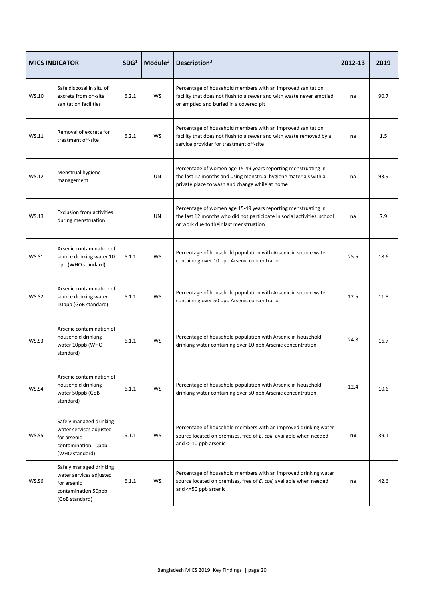|              | <b>MICS INDICATOR</b>                                                                                      | SDG <sup>1</sup> | Module $2$ | Description $3$                                                                                                                                                                    | 2012-13 | 2019 |
|--------------|------------------------------------------------------------------------------------------------------------|------------------|------------|------------------------------------------------------------------------------------------------------------------------------------------------------------------------------------|---------|------|
| WS.10        | Safe disposal in situ of<br>excreta from on-site<br>sanitation facilities                                  | 6.2.1            | <b>WS</b>  | Percentage of household members with an improved sanitation<br>facility that does not flush to a sewer and with waste never emptied<br>or emptied and buried in a covered pit      | na      | 90.7 |
| WS.11        | Removal of excreta for<br>treatment off-site                                                               | 6.2.1            | <b>WS</b>  | Percentage of household members with an improved sanitation<br>facility that does not flush to a sewer and with waste removed by a<br>service provider for treatment off-site      | na      | 1.5  |
| WS.12        | Menstrual hygiene<br>management                                                                            |                  | UN         | Percentage of women age 15-49 years reporting menstruating in<br>the last 12 months and using menstrual hygiene materials with a<br>private place to wash and change while at home | na      | 93.9 |
| WS.13        | <b>Exclusion from activities</b><br>during menstruation                                                    |                  | UN         | Percentage of women age 15-49 years reporting menstruating in<br>the last 12 months who did not participate in social activities, school<br>or work due to their last menstruation | na      | 7.9  |
| <b>WS.S1</b> | Arsenic contamination of<br>source drinking water 10<br>ppb (WHO standard)                                 | 6.1.1            | WS         | Percentage of household population with Arsenic in source water<br>containing over 10 ppb Arsenic concentration                                                                    | 25.5    | 18.6 |
| <b>WS.S2</b> | Arsenic contamination of<br>source drinking water<br>10ppb (GoB standard)                                  | 6.1.1            | <b>WS</b>  | Percentage of household population with Arsenic in source water<br>containing over 50 ppb Arsenic concentration                                                                    | 12.5    | 11.8 |
| WS.S3        | Arsenic contamination of<br>household drinking<br>water 10ppb (WHO<br>standard)                            | 6.1.1            | <b>WS</b>  | Percentage of household population with Arsenic in household<br>drinking water containing over 10 ppb Arsenic concentration                                                        | 24.8    | 16.7 |
| WS.S4        | Arsenic contamination of<br>household drinking<br>water 50ppb (GoB<br>standard)                            | 6.1.1            | <b>WS</b>  | Percentage of household population with Arsenic in household<br>drinking water containing over 50 ppb Arsenic concentration                                                        | 12.4    | 10.6 |
| <b>WS.S5</b> | Safely managed drinking<br>water services adjusted<br>for arsenic<br>contamination 10ppb<br>(WHO standard) | 6.1.1            | <b>WS</b>  | Percentage of household members with an improved drinking water<br>source located on premises, free of E. coli, available when needed<br>and <= 10 ppb arsenic                     | na      | 39.1 |
| WS.S6        | Safely managed drinking<br>water services adjusted<br>for arsenic<br>contamination 50ppb<br>(GoB standard) | 6.1.1            | WS         | Percentage of household members with an improved drinking water<br>source located on premises, free of E. coli, available when needed<br>and <= 50 ppb arsenic                     | na      | 42.6 |